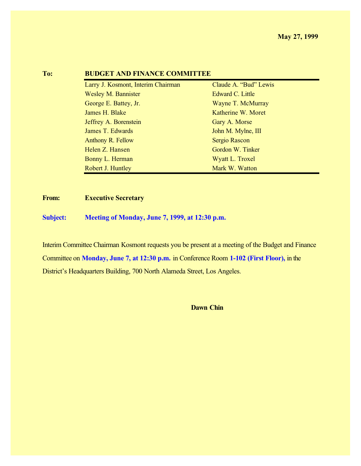| 10: | BUDGET AND FINANCE COMMITTEE       |                       |  |
|-----|------------------------------------|-----------------------|--|
|     | Larry J. Kosmont, Interim Chairman | Claude A. "Bud" Lewis |  |
|     | <b>Wesley M. Bannister</b>         | Edward C. Little      |  |
|     | George E. Battey, Jr.              | Wayne T. McMurray     |  |
|     | James H. Blake                     | Katherine W. Moret    |  |
|     | Jeffrey A. Borenstein              | Gary A. Morse         |  |
|     | James T. Edwards                   | John M. Mylne, III    |  |
|     | Anthony R. Fellow                  | Sergio Rascon         |  |
|     | Helen Z. Hansen                    | Gordon W. Tinker      |  |
|     | Bonny L. Herman                    | Wyatt L. Troxel       |  |
|     | Robert J. Huntley                  | Mark W. Watton        |  |
|     |                                    |                       |  |

### **TO: BUDGET AND FINANCE**

#### **From: Executive Secretary**

**Subject: Meeting of Monday, June 7, 1999, at 12:30 p.m.**

Interim Committee Chairman Kosmont requests you be present at a meeting of the Budget and Finance Committee on **Monday, June 7, at 12:30 p.m.** in Conference Room **1-102 (First Floor),** in the District's Headquarters Building, 700 North Alameda Street, Los Angeles.

**Dawn Chin**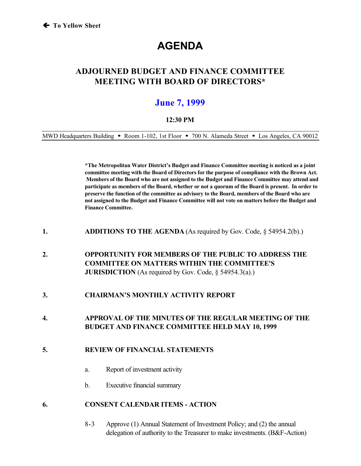# **AGENDA**

## **ADJOURNED BUDGET AND FINANCE COMMITTEE MEETING WITH BOARD OF DIRECTORS\***

## **June 7, 1999**

#### **12:30 PM**

MWD Headquarters Building • Room 1-102, 1st Floor • 700 N. Alameda Street • Los Angeles, CA 90012

**\*The Metropolitan Water District's Budget and Finance Committee meeting is noticed as a joint committee meeting with the Board of Directors for the purpose of compliance with the Brown Act. Members of the Board who are not assigned to the Budget and Finance Committee may attend and participate as members of the Board, whether or not a quorum of the Board is present. In order to preserve the function of the committee as advisory to the Board, members of the Board who are not assigned to the Budget and Finance Committee will not vote on matters before the Budget and Finance Committee.**

- **1. ADDITIONS TO THE AGENDA** (As required by Gov. Code, § 54954.2(b).)
- **2. OPPORTUNITY FOR MEMBERS OF THE PUBLIC TO ADDRESS THE COMMITTEE ON MATTERS WITHIN THE COMMITTEE'S JURISDICTION** (As required by Gov. Code, § 54954.3(a).)
- **3. CHAIRMAN'S MONTHLY ACTIVITY REPORT**

#### **4. APPROVAL OF THE MINUTES OF THE REGULAR MEETING OF THE BUDGET AND FINANCE COMMITTEE HELD MAY 10, 1999**

#### **5. REVIEW OF FINANCIAL STATEMENTS**

- a. Report of investment activity
- b. Executive financial summary

#### **6. CONSENT CALENDAR ITEMS - ACTION**

8-3 Approve (1) Annual Statement of Investment Policy; and (2) the annual delegation of authority to the Treasurer to make investments. (B&F-Action)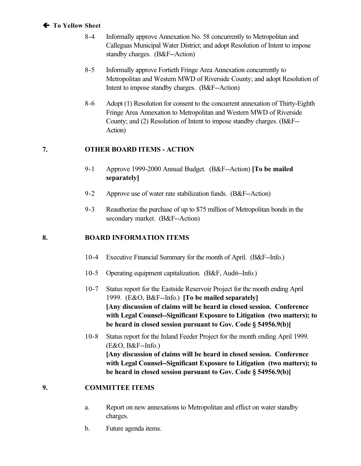#### **! To Yellow Sheet**

- 8-4 Informally approve Annexation No. 58 concurrently to Metropolitan and Calleguas Municipal Water District; and adopt Resolution of Intent to impose standby charges. (B&F--Action)
- 8-5 Informally approve Fortieth Fringe Area Annexation concurrently to Metropolitan and Western MWD of Riverside County; and adopt Resolution of Intent to impose standby charges. (B&F--Action)
- 8-6 Adopt (1) Resolution for consent to the concurrent annexation of Thirty-Eighth Fringe Area Annexation to Metropolitan and Western MWD of Riverside County; and (2) Resolution of Intent to impose standby charges. (B&F-- Action)

#### **7. OTHER BOARD ITEMS - ACTION**

- 9-1 Approve 1999-2000 Annual Budget. (B&F--Action) **[To be mailed separately]**
- 9-2 Approve use of water rate stabilization funds. (B&F--Action)
- 9-3 Reauthorize the purchase of up to \$75 million of Metropolitan bonds in the secondary market. (B&F--Action)

#### **8. BOARD INFORMATION ITEMS**

- 10-4 Executive Financial Summary for the month of April. (B&F--Info.)
- 10-5 Operating equipment capitalization. (B&F, Audit--Info.)
- 10-7 Status report for the Eastside Reservoir Project for the month ending April 1999. (E&O, B&F--Info.) **[To be mailed separately] [Any discussion of claims will be heard in closed session. Conference with Legal Counsel--Significant Exposure to Litigation (two matters); to be heard in closed session pursuant to Gov. Code § 54956.9(b)]**
- 10-8 Status report for the Inland Feeder Project for the month ending April 1999.  $(E&O, B&F\text{-}Info.)$ **[Any discussion of claims will be heard in closed session. Conference with Legal Counsel--Significant Exposure to Litigation (two matters); to be heard in closed session pursuant to Gov. Code § 54956.9(b)]**

#### **9. COMMITTEE ITEMS**

- a. Report on new annexations to Metropolitan and effect on water standby charges.
- b. Future agenda items.